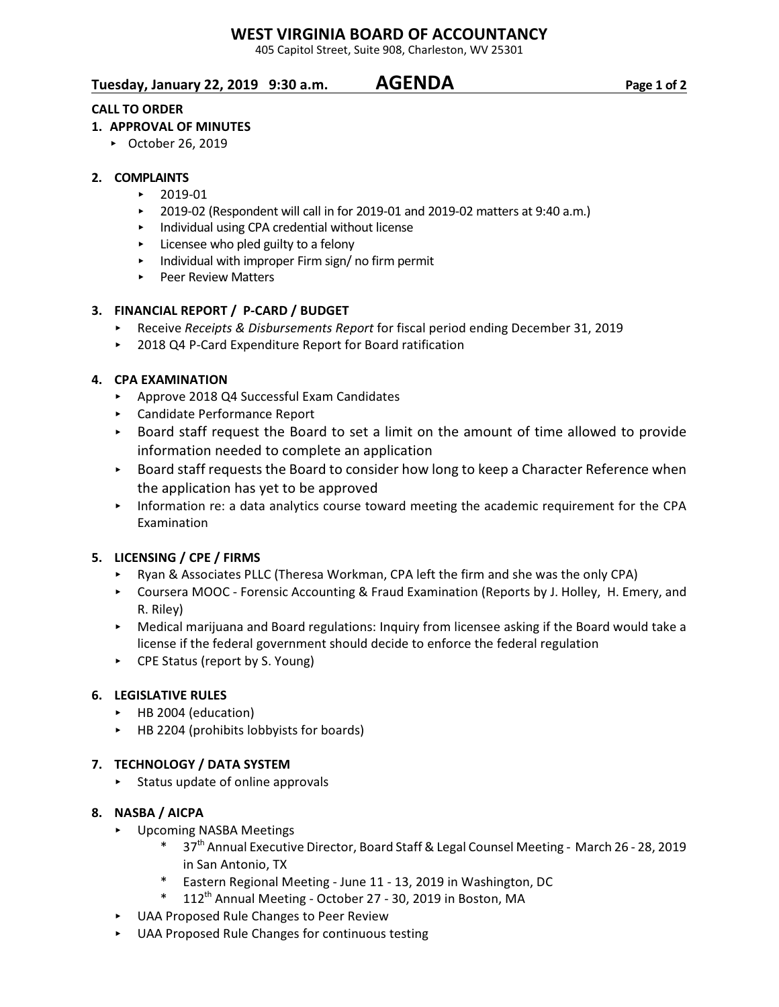# **WEST VIRGINIA BOARD OF ACCOUNTANCY**

405 Capitol Street, Suite 908, Charleston, WV 25301

# **Tuesday, January 22, 2019 9:30 a.m. AGENDA Page 1 of 2**

# **CALL TO ORDER**

# **1. APPROVAL OF MINUTES**

▶ October 26, 2019

## **2. COMPLAINTS**

- $\blacktriangleright$  2019-01
- $\triangleright$  2019-02 (Respondent will call in for 2019-01 and 2019-02 matters at 9:40 a.m.)
- < Individual using CPA credential without license
- $\triangleright$  Licensee who pled guilty to a felony
- < Individual with improper Firm sign/ no firm permit
- ▶ Peer Review Matters

## **3. FINANCIAL REPORT / P-CARD / BUDGET**

- **Receive Receipts & Disbursements Report for fiscal period ending December 31, 2019**
- ▶ 2018 Q4 P-Card Expenditure Report for Board ratification

## **4. CPA EXAMINATION**

- ▶ Approve 2018 Q4 Successful Exam Candidates
- < Candidate Performance Report
- < Board staff request the Board to set a limit on the amount of time allowed to provide information needed to complete an application
- ► Board staff requests the Board to consider how long to keep a Character Reference when the application has yet to be approved
- < Information re: a data analytics course toward meeting the academic requirement for the CPA Examination

# **5. LICENSING / CPE / FIRMS**

- ► Ryan & Associates PLLC (Theresa Workman, CPA left the firm and she was the only CPA)
- ▶ Coursera MOOC Forensic Accounting & Fraud Examination (Reports by J. Holley, H. Emery, and R. Riley)
- ► Medical marijuana and Board regulations: Inquiry from licensee asking if the Board would take a license if the federal government should decide to enforce the federal regulation
- ► CPE Status (report by S. Young)

### **6. LEGISLATIVE RULES**

- ▶ HB 2004 (education)
- $\triangleright$  HB 2204 (prohibits lobbyists for boards)

# **7. TECHNOLOGY / DATA SYSTEM**

 $\triangleright$  Status update of online approvals

### **8. NASBA / AICPA**

- < Upcoming NASBA Meetings
	- 37<sup>th</sup> Annual Executive Director, Board Staff & Legal Counsel Meeting March 26 28, 2019 in San Antonio, TX
	- Eastern Regional Meeting June 11 13, 2019 in Washington, DC
	- $*$  112<sup>th</sup> Annual Meeting October 27 30, 2019 in Boston, MA
- < UAA Proposed Rule Changes to Peer Review
- < UAA Proposed Rule Changes for continuous testing